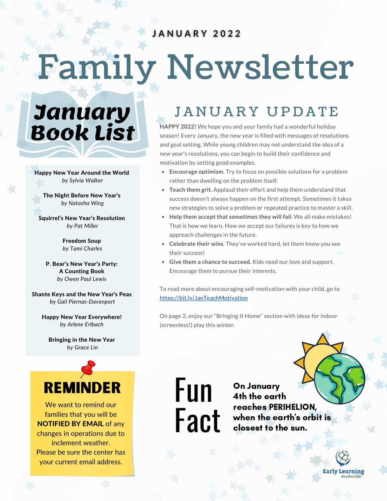#### JANUARY 2022

# Family Newsletter

**January Book List**

Happy New Year Around the World *by Sylvia Walker*

The Night Before New Year's *by Natasha Wing*

Squirrel's New Year's Resolution *by Pat Miller*

> Freedom Soup *by Tami Charles*

P. Bear's New Year's Party: A Counting Book *by Owen Paul Lewis*

Shante Keys and the New Year's Peas *by Gail Piernas-Davenport*

Happy New Year Everywhere! *by Arlene Erlbach*

Bringing in the New Year *by Grace Lin*



We want to remind our families that you will be NOTIFIED BY EMAIL of any changes in operations due to inclement weather. Please be sure the center has your current email address.

## JANUARY UPDATE

**HAPPY 2022!** We hope you and your family had a wonderful holiday season! Every January, the new year is filled with messages of resolutions and goal setting. While young children may not understand the idea of a new year's resolutions, you can begin to build their confidence and motivation by setting good examples.

- **Encourage optimism**. Try to focus on possible solutions for a problem rather than dwelling on the problem itself.
- **Teach them grit**. Applaud their effort and help them understand that success doesn't always happen on the first attempt. Sometimes it takes new strategies to solve a problem or repeated practice to master a skill.
- **Help them accept that sometimes they will fail**. We all make mistakes! That is how we learn. How we accept our failures is key to how we approach challenges in the future.
- **Celebrate their wins.** They've worked hard, let them know you see their success!
- **Give them a chance to succeed.** Kids need our love and support. Encourage them to pursue their interests.

To read more about encouraging self-motivation with your child, go to https://bit.ly/JanTeachMotivation

On page 2, enjoy our "Bringing It Home" section with ideas for indoor (screenless!) play this winter.

Fun **Fact** 

On January 4th the earth reaches PERIHELION, when the earth's orbit is closest to the sun.